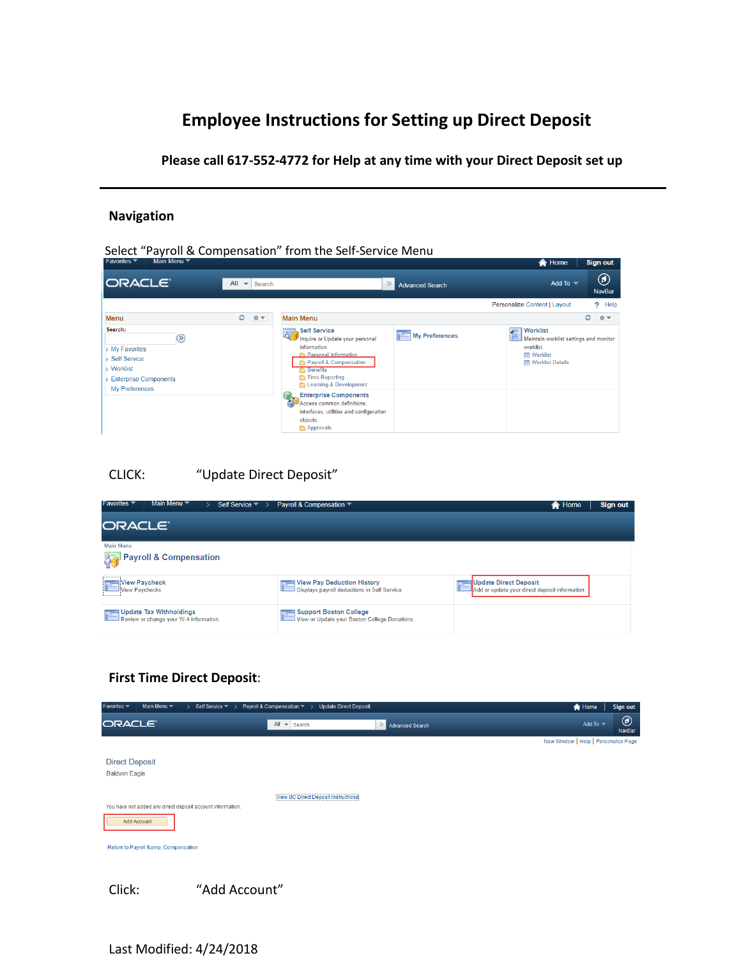# **Employee Instructions for Setting up Direct Deposit**

**Please call 617-552-4772 for Help at any time with your Direct Deposit set up**

### **Navigation**

| Select "Payroll & Compensation" from the Self-Service Menu<br>Main Menu ▼<br>Favorites ▼                                |                                           |                                                                                                                                                                                                                                                                                                                                             |                        | <b>A</b> Home                                                                                                            | Sign out                       |
|-------------------------------------------------------------------------------------------------------------------------|-------------------------------------------|---------------------------------------------------------------------------------------------------------------------------------------------------------------------------------------------------------------------------------------------------------------------------------------------------------------------------------------------|------------------------|--------------------------------------------------------------------------------------------------------------------------|--------------------------------|
| <b>ORACLE</b>                                                                                                           | All<br>Search<br>$\overline{\phantom{a}}$ |                                                                                                                                                                                                                                                                                                                                             | <b>Advanced Search</b> | Add To $-$                                                                                                               | $^\copyright$<br><b>NavBar</b> |
|                                                                                                                         |                                           |                                                                                                                                                                                                                                                                                                                                             |                        | Personalize Content   Layout                                                                                             | ? Help                         |
| Menu                                                                                                                    | $\circ$<br>$0 -$                          | <b>Main Menu</b>                                                                                                                                                                                                                                                                                                                            |                        |                                                                                                                          | ٥<br>$0 -$                     |
| Search:<br>$(\gg)$<br>My Favorites<br><b>Self Service</b><br>Worklist<br><b>Enterprise Components</b><br>My Preferences |                                           | <b>Self Service</b><br>اها<br>Inquire or Update your personal<br>information<br><b>Personal Information</b><br>Payroll & Compensation<br><b>Benefits</b><br>Time Reporting<br>Learning & Development<br><b>Enterprise Components</b><br>Ş<br>Access common definitions,<br>interfaces, utilities and configuration<br>objects.<br>Approvals | <b>My Preferences</b>  | Worklist<br>圍<br>Maintain worklist settings and monitor<br>worklist.<br><b>Im</b> Worklist<br><b>IE</b> Worklist Details |                                |

## CLICK: "Update Direct Deposit"

| <b>Favorites</b><br>Main Menu<br>Self Service $\equiv$            | Payroll & Compensation $\blacktriangledown$                               | Home<br>徻                                                                      | Sign out |
|-------------------------------------------------------------------|---------------------------------------------------------------------------|--------------------------------------------------------------------------------|----------|
| ORACLE <sup>®</sup>                                               |                                                                           |                                                                                |          |
| Main Menu                                                         |                                                                           |                                                                                |          |
| Payroll & Compensation                                            |                                                                           |                                                                                |          |
| View Paycheck<br><b>IView Pavchecks</b>                           | View Pay Deduction History<br>Displays payroll deductions in Self Service | <b>Update Direct Deposit</b><br>Add or update your direct deposit information. |          |
| Update Tax Withholdings<br>Review or change your W-4 information. | Support Boston College<br>View or Update your Boston College Donations.   |                                                                                |          |

## **First Time Direct Deposit**:

| Main Menu $\blacktriangledown$<br>Favorites $\blacktriangledown$<br>Self Service $\blacktriangledown$ > | Payroll & Compensation ▼ ><br><b>Update Direct Deposit</b> |                          | <b>合</b> Home                        | Sign out                 |
|---------------------------------------------------------------------------------------------------------|------------------------------------------------------------|--------------------------|--------------------------------------|--------------------------|
| ORACLE <sup>®</sup>                                                                                     | All $\sim$<br>Search                                       | $\gg$<br>Advanced Search | Add To $\blacktriangledown$          | $^{\circledR}$<br>NavBar |
|                                                                                                         |                                                            |                          | New Window   Help   Personalize Page |                          |
| <b>Direct Deposit</b><br><b>Baldwin Eagle</b>                                                           |                                                            |                          |                                      |                          |
|                                                                                                         | <b>View BC Direct Deposit Instructions</b>                 |                          |                                      |                          |
| You have not added any direct deposit account information.                                              |                                                            |                          |                                      |                          |
| Add Account                                                                                             |                                                            |                          |                                      |                          |
| Return to Payroll & Compensation                                                                        |                                                            |                          |                                      |                          |
|                                                                                                         |                                                            |                          |                                      |                          |
|                                                                                                         |                                                            |                          |                                      |                          |

Click: "Add Account"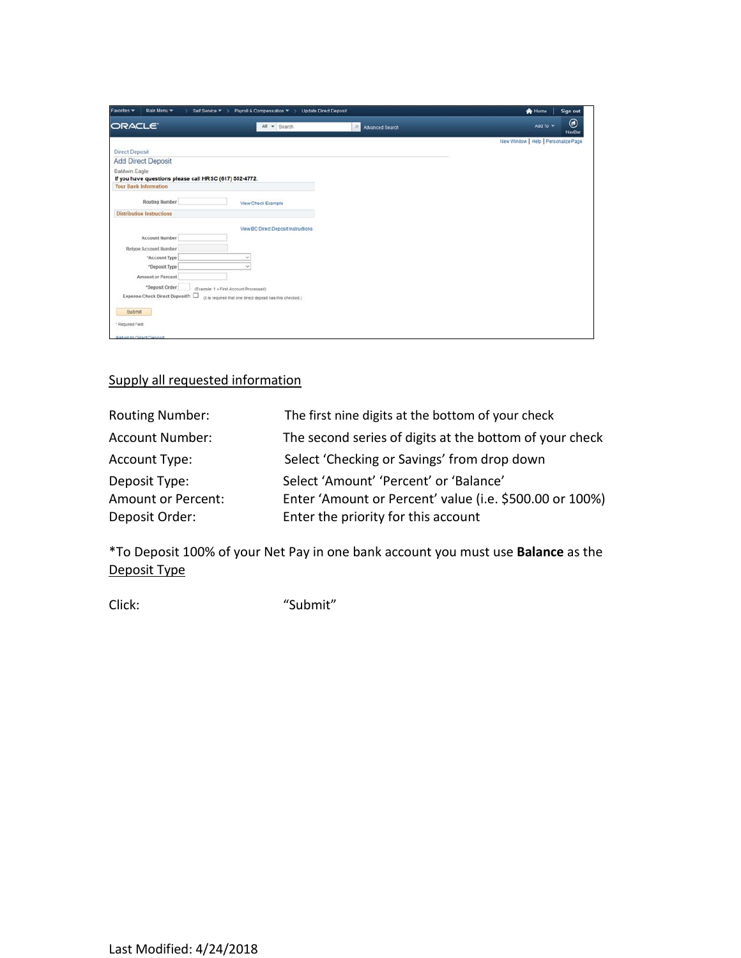| Main Menu =<br>Favorites *                             | Payroll & Compensation ▼ > Update Direct Deposit<br>Self Service <b>*</b> > |                                    | <b>A</b> Home<br>Sign out             |
|--------------------------------------------------------|-----------------------------------------------------------------------------|------------------------------------|---------------------------------------|
| ORACLE <sup>®</sup>                                    | All = Search                                                                | $\mathcal{D}$ .<br>Advanced Search | ◉<br>Add To $\equiv$<br><b>NavBar</b> |
|                                                        |                                                                             |                                    | New Window   Help   Personalize Page  |
| <b>Direct Deposit</b>                                  |                                                                             |                                    |                                       |
| <b>Add Direct Deposit</b>                              |                                                                             |                                    |                                       |
| Baldwin Eagle                                          |                                                                             |                                    |                                       |
| If you have questions please call HRSC (617) 552-4772. |                                                                             |                                    |                                       |
| <b>Your Bank Information</b>                           |                                                                             |                                    |                                       |
| Routing Number                                         | View Check Example                                                          |                                    |                                       |
| <b>Distribution Instructions</b>                       |                                                                             |                                    |                                       |
|                                                        | View BC Direct Deposit Instructions                                         |                                    |                                       |
| Account Number                                         |                                                                             |                                    |                                       |
| Retype Account Number                                  |                                                                             |                                    |                                       |
| "Account Type                                          | $\overline{\phantom{a}}$                                                    |                                    |                                       |
| *Deposit Type                                          | ÷                                                                           |                                    |                                       |
| Amount or Percent                                      |                                                                             |                                    |                                       |
| *Deposit Order                                         | (Example: 1 + First Account Processed)                                      |                                    |                                       |
| Expense Check Direct Deposit?:                         | (it is required that one direct deposit has this checked.)                  |                                    |                                       |
|                                                        |                                                                             |                                    |                                       |
| Submit                                                 |                                                                             |                                    |                                       |
| * Required Field                                       |                                                                             |                                    |                                       |
| Return to Direct Denosit                               |                                                                             |                                    |                                       |

## Supply all requested information

| <b>Routing Number:</b> | The first nine digits at the bottom of your check       |
|------------------------|---------------------------------------------------------|
| <b>Account Number:</b> | The second series of digits at the bottom of your check |
| Account Type:          | Select 'Checking or Savings' from drop down             |
| Deposit Type:          | Select 'Amount' 'Percent' or 'Balance'                  |
| Amount or Percent:     | Enter 'Amount or Percent' value (i.e. \$500.00 or 100%) |
| Deposit Order:         | Enter the priority for this account                     |

\*To Deposit 100% of your Net Pay in one bank account you must use **Balance** as the Deposit Type

Click: "Submit"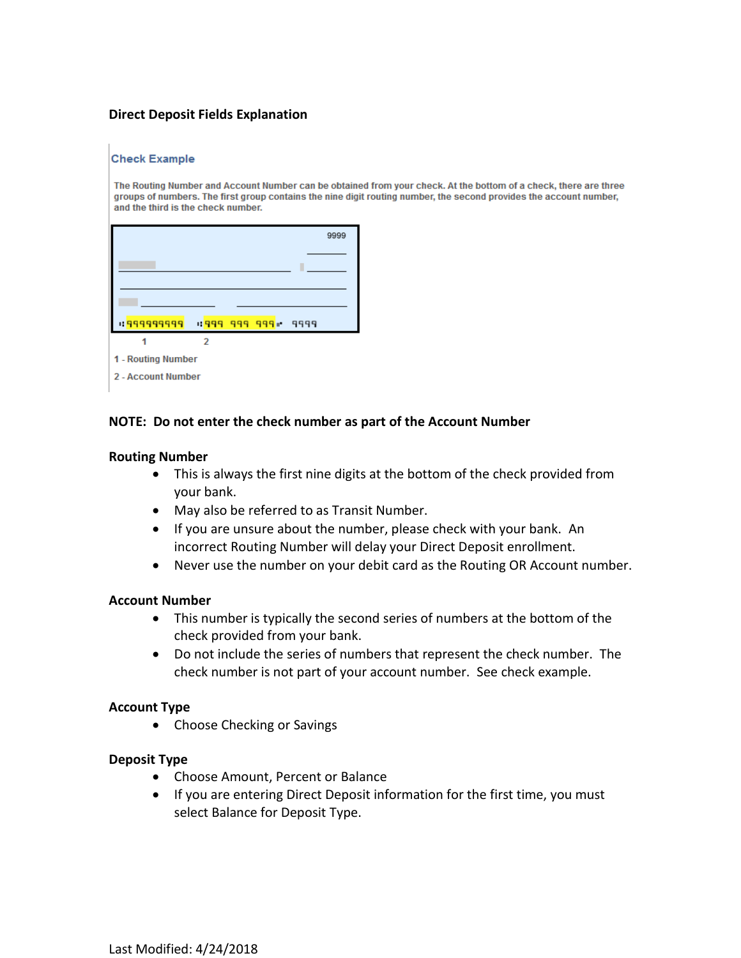### **Direct Deposit Fields Explanation**

#### **Check Example**

The Routing Number and Account Number can be obtained from your check. At the bottom of a check, there are three groups of numbers. The first group contains the nine digit routing number, the second provides the account number, and the third is the check number.

|                    |   |                   | 9999 |
|--------------------|---|-------------------|------|
|                    |   |                   |      |
|                    |   |                   |      |
|                    |   |                   |      |
| 1: 999999999       |   | 1999 999 999 9999 |      |
|                    | 2 |                   |      |
| 1 - Routing Number |   |                   |      |

2 - Account Number

#### **NOTE: Do not enter the check number as part of the Account Number**

#### **Routing Number**

- This is always the first nine digits at the bottom of the check provided from your bank.
- May also be referred to as Transit Number.
- If you are unsure about the number, please check with your bank. An incorrect Routing Number will delay your Direct Deposit enrollment.
- Never use the number on your debit card as the Routing OR Account number.

#### **Account Number**

- This number is typically the second series of numbers at the bottom of the check provided from your bank.
- Do not include the series of numbers that represent the check number. The check number is not part of your account number. See check example.

#### **Account Type**

• Choose Checking or Savings

#### **Deposit Type**

- Choose Amount, Percent or Balance
- If you are entering Direct Deposit information for the first time, you must select Balance for Deposit Type.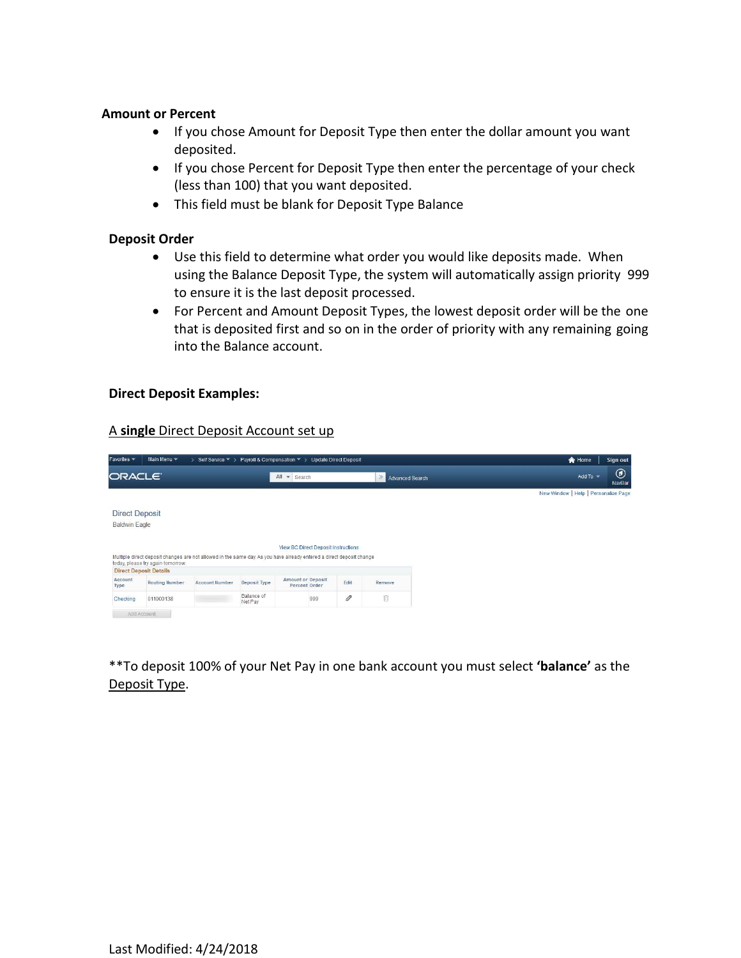#### **Amount or Percent**

- If you chose Amount for Deposit Type then enter the dollar amount you want deposited.
- If you chose Percent for Deposit Type then enter the percentage of your check (less than 100) that you want deposited.
- This field must be blank for Deposit Type Balance

### **Deposit Order**

- Use this field to determine what order you would like deposits made. When using the Balance Deposit Type, the system will automatically assign priority 999 to ensure it is the last deposit processed.
- For Percent and Amount Deposit Types, the lowest deposit order will be the one that is deposited first and so on in the order of priority with any remaining going into the Balance account.

### **Direct Deposit Examples:**

#### A **single** Direct Deposit Account set up

| Favorites *                                   | Main Menu *                                                                                                          | Self Service ▼ > Payroll & Compensation ▼ > |                       |                                           |     | <b>Update Direct Deposit</b> |        |                 | <br><b>A</b> Home                    | Sign out    |
|-----------------------------------------------|----------------------------------------------------------------------------------------------------------------------|---------------------------------------------|-----------------------|-------------------------------------------|-----|------------------------------|--------|-----------------|--------------------------------------|-------------|
| ORACLE <sup>®</sup>                           |                                                                                                                      |                                             |                       | All<br>Search<br>$\mathbf{v}$             |     |                              | $\gg$  | Advanced Search | Add To $\sim$                        | ◉<br>NavBar |
|                                               |                                                                                                                      |                                             |                       |                                           |     |                              |        |                 | New Window   Help   Personalize Page |             |
| <b>Direct Deposit</b><br><b>Baldwin Eagle</b> | Multiple direct deposit changes are not allowed in the same day. As you have already entered a direct deposit change |                                             |                       | View BC Direct Deposit Instructions       |     |                              |        |                 |                                      |             |
|                                               | today, please try again tomorrow.<br><b>Direct Deposit Details</b>                                                   |                                             |                       |                                           |     |                              |        |                 |                                      |             |
| Account<br>Type                               | <b>Routing Number</b>                                                                                                | <b>Account Number</b>                       | Deposit Type          | <b>Amount or Deposit</b><br>Percent Order |     | Edit                         | Remove |                 |                                      |             |
| Checking                                      | 011000138                                                                                                            |                                             | Balance of<br>Net Pay |                                           | 999 | 0                            | ñ      |                 |                                      |             |
| Add Account                                   |                                                                                                                      |                                             |                       |                                           |     |                              |        |                 |                                      |             |

\*\*To deposit 100% of your Net Pay in one bank account you must select **'balance'** as the Deposit Type.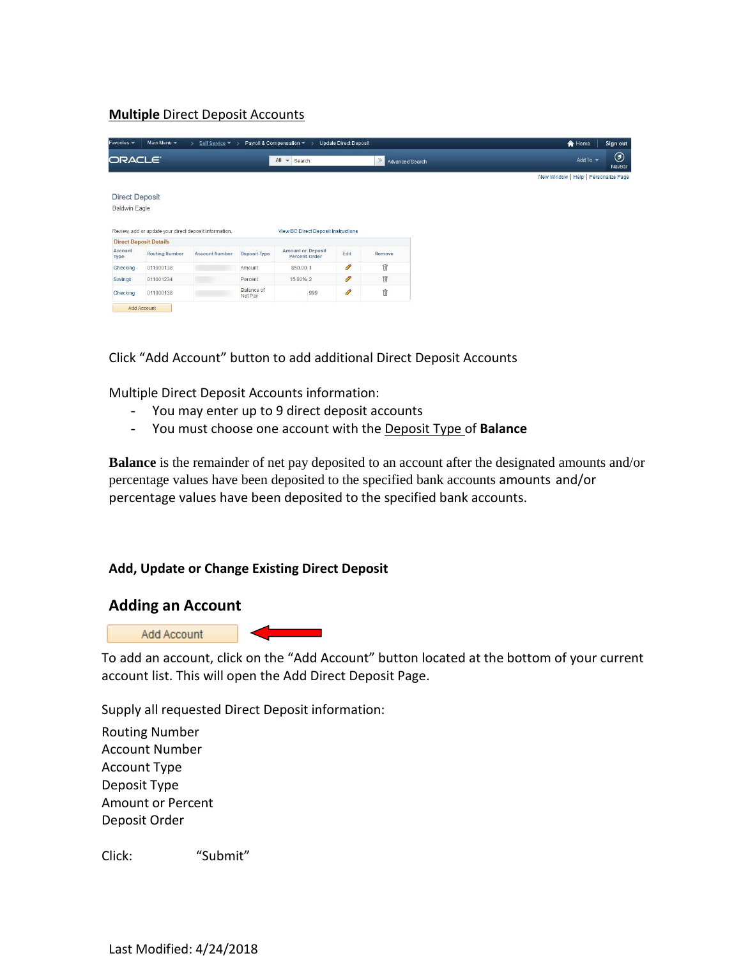## **Multiple** Direct Deposit Accounts

| Favorites *                     | Main Menu *                                            | Self Service ▼ >      |                       | Payroll & Compensation ▼ >                | <b>Update Direct Deposit</b> |                          | <b>合</b> Home<br>Sign out                                |
|---------------------------------|--------------------------------------------------------|-----------------------|-----------------------|-------------------------------------------|------------------------------|--------------------------|----------------------------------------------------------|
| ORACLE <sup>®</sup>             |                                                        |                       |                       | All<br>$\overline{\phantom{a}}$<br>Search |                              | $\gg$<br>Advanced Search | $^{\copyright}$<br>Add To $\blacktriangledown$<br>NavBar |
|                                 |                                                        |                       |                       |                                           |                              |                          | New Window   Help   Personalize Page                     |
| <b>Direct Deposit</b>           |                                                        |                       |                       |                                           |                              |                          |                                                          |
| <b>Baldwin Eagle</b>            |                                                        |                       |                       |                                           |                              |                          |                                                          |
|                                 |                                                        |                       |                       |                                           |                              |                          |                                                          |
|                                 | Review, add or update your direct deposit information. |                       |                       | View BC Direct Deposit Instructions       |                              |                          |                                                          |
|                                 | <b>Direct Deposit Details</b>                          |                       |                       |                                           |                              |                          |                                                          |
| Account<br>Type                 | <b>Routing Number</b>                                  | <b>Account Number</b> | Deposit Type          | <b>Amount or Deposit</b><br>Percent Order | Edit                         | Remove                   |                                                          |
|                                 |                                                        |                       |                       |                                           |                              |                          |                                                          |
|                                 | 011000138                                              |                       | Amount                | \$50.00 1                                 | O                            | 俞                        |                                                          |
|                                 | 011001234                                              |                       | Percent               | 15.00% 2                                  | 0                            | f                        |                                                          |
| Checking<br>Savings<br>Checking | 011000138                                              |                       | Balance of<br>Net Pay | 999                                       | 0                            | û                        |                                                          |

Click "Add Account" button to add additional Direct Deposit Accounts

Multiple Direct Deposit Accounts information:

- You may enter up to 9 direct deposit accounts
- You must choose one account with the Deposit Type of **Balance**

**Balance** is the remainder of net pay deposited to an account after the designated amounts and/or percentage values have been deposited to the specified bank accounts amounts and/or percentage values have been deposited to the specified bank accounts.

### **Add, Update or Change Existing Direct Deposit**

### **Adding an Account**



To add an account, click on the "Add Account" button located at the bottom of your current account list. This will open the Add Direct Deposit Page.

Supply all requested Direct Deposit information:

Routing Number Account Number Account Type Deposit Type Amount or Percent Deposit Order

Click: "Submit"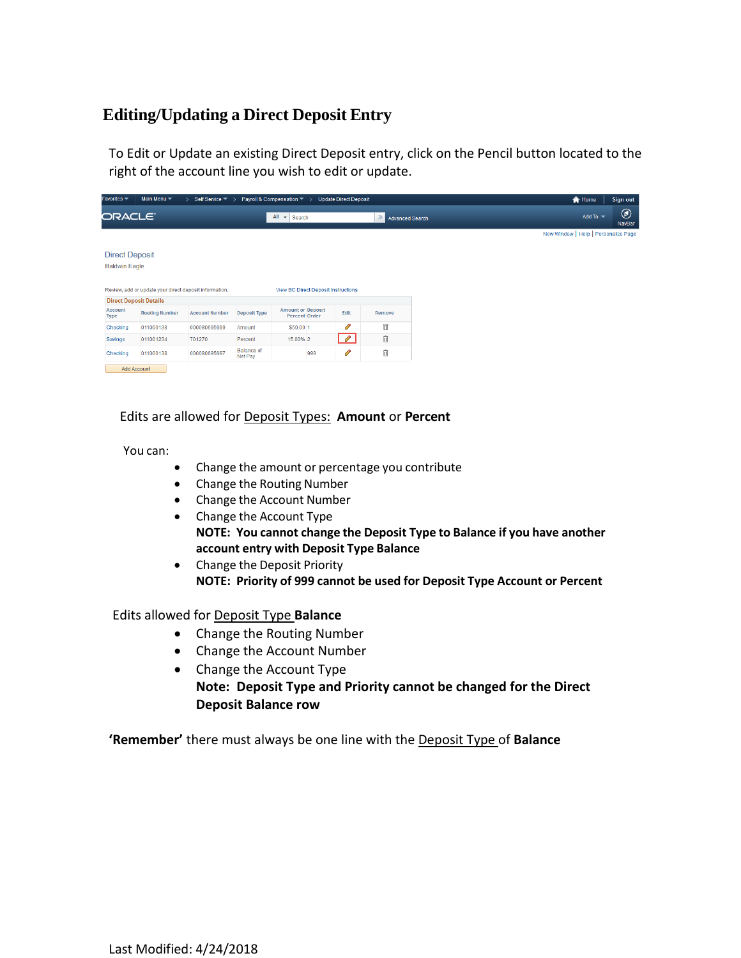## **Editing/Updating a Direct Deposit Entry**

To Edit or Update an existing Direct Deposit entry, click on the Pencil button located to the right of the account line you wish to edit or update.

| Favorites $\blacktriangledown$                | Main Menu $\blacktriangledown$                         | Self Service $\blacktriangledown$ > |                              | Payroll & Compensation ▼ >                 |     | <b>Update Direct Deposit</b> |                          |
|-----------------------------------------------|--------------------------------------------------------|-------------------------------------|------------------------------|--------------------------------------------|-----|------------------------------|--------------------------|
| ORACLE <sup>®</sup>                           |                                                        |                                     |                              | All<br>Search<br>$\overline{\phantom{a}}$  |     |                              | $\gg$<br>Advanced Search |
|                                               |                                                        |                                     |                              |                                            |     |                              |                          |
| <b>Direct Deposit</b><br><b>Baldwin Eagle</b> | Review, add or update your direct deposit information. |                                     |                              | <b>View BC Direct Deposit Instructions</b> |     |                              |                          |
| <b>Direct Deposit Details</b>                 |                                                        |                                     |                              |                                            |     |                              |                          |
| Account<br><b>Type</b>                        | <b>Routing Number</b>                                  | <b>Account Number</b>               | <b>Deposit Type</b>          | <b>Amount or Deposit</b><br>Percent Order  |     | Edit                         | Remove                   |
| Checking                                      | 011000138                                              | 000080695699                        | Amount                       | \$50.00 1                                  |     | O                            | 自                        |
| Savings                                       | 011001234                                              | 701270                              | Percent                      | 15,00% 2                                   |     | $\mathscr{O}$                | 自                        |
| Checking                                      | 011000138                                              | 000080695697                        | <b>Balance of</b><br>Net Pay |                                            | 999 | $\mathscr{P}$                | î                        |
|                                               | Add Account                                            |                                     |                              |                                            |     |                              |                          |

### Edits are allowed for Deposit Types: **Amount** or **Percent**

You can:

- Change the amount or percentage you contribute
- Change the Routing Number
- Change the Account Number
- Change the Account Type **NOTE: You cannot change the Deposit Type to Balance if you have another account entry with Deposit Type Balance**
- Change the Deposit Priority **NOTE: Priority of 999 cannot be used for Deposit Type Account or Percent**

#### Edits allowed for Deposit Type **Balance**

- Change the Routing Number
- Change the Account Number
- Change the Account Type **Note: Deposit Type and Priority cannot be changed for the Direct Deposit Balance row**

**'Remember'** there must always be one line with the Deposit Type of **Balance**